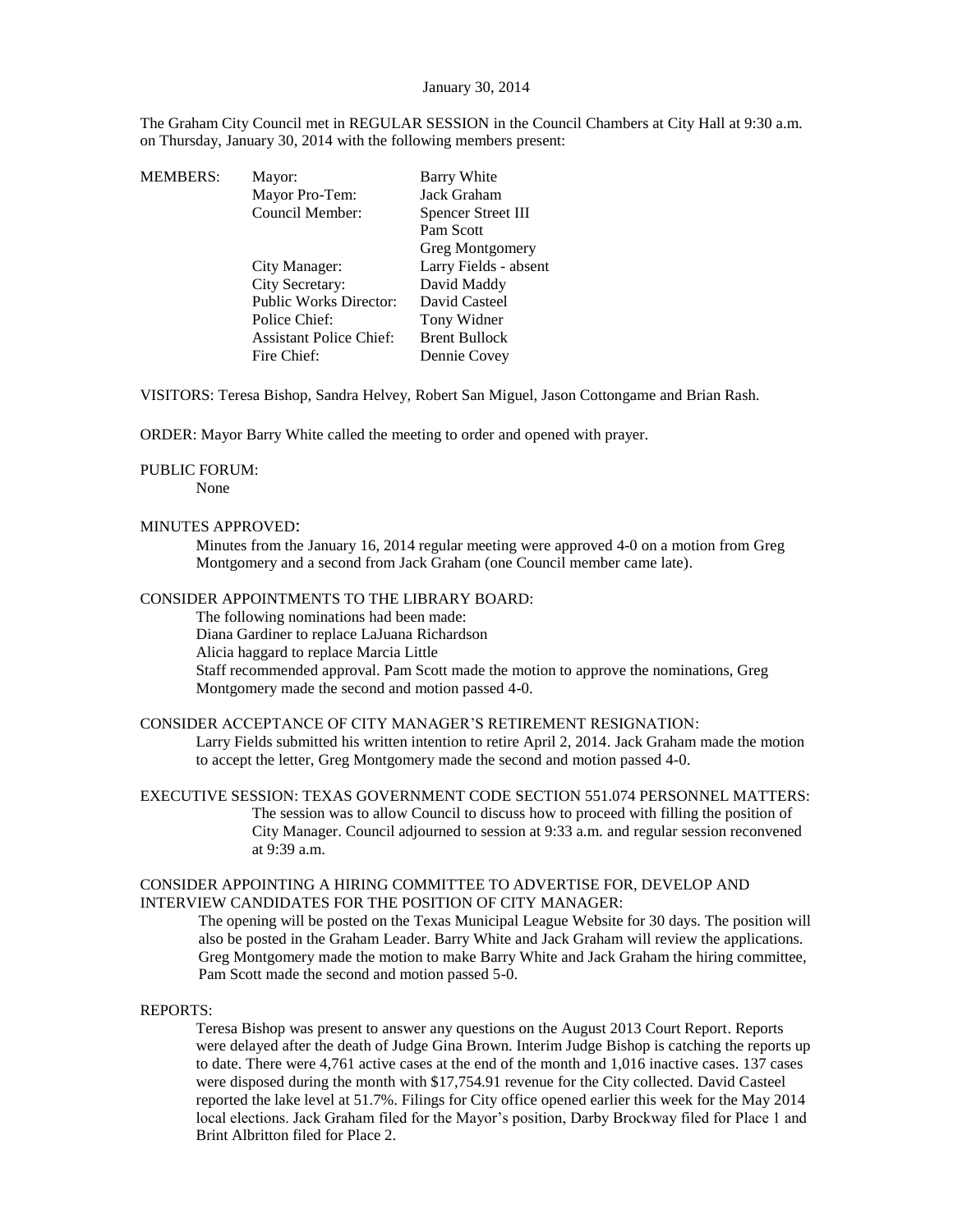#### January 30, 2014

The Graham City Council met in REGULAR SESSION in the Council Chambers at City Hall at 9:30 a.m. on Thursday, January 30, 2014 with the following members present:

| <b>MEMBERS:</b> | Mayor:                         | Barry White            |
|-----------------|--------------------------------|------------------------|
|                 | Mayor Pro-Tem:                 | Jack Graham            |
|                 | Council Member:                | Spencer Street III     |
|                 |                                | Pam Scott              |
|                 |                                | <b>Greg Montgomery</b> |
|                 | City Manager:                  | Larry Fields - absent  |
|                 | City Secretary:                | David Maddy            |
|                 | <b>Public Works Director:</b>  | David Casteel          |
|                 | Police Chief:                  | Tony Widner            |
|                 | <b>Assistant Police Chief:</b> | <b>Brent Bullock</b>   |
|                 | Fire Chief:                    | Dennie Covey           |
|                 |                                |                        |

VISITORS: Teresa Bishop, Sandra Helvey, Robert San Miguel, Jason Cottongame and Brian Rash.

ORDER: Mayor Barry White called the meeting to order and opened with prayer.

#### PUBLIC FORUM:

None

### MINUTES APPROVED:

Minutes from the January 16, 2014 regular meeting were approved 4-0 on a motion from Greg Montgomery and a second from Jack Graham (one Council member came late).

# CONSIDER APPOINTMENTS TO THE LIBRARY BOARD:

The following nominations had been made:

Diana Gardiner to replace LaJuana Richardson

Alicia haggard to replace Marcia Little

Staff recommended approval. Pam Scott made the motion to approve the nominations, Greg Montgomery made the second and motion passed 4-0.

### CONSIDER ACCEPTANCE OF CITY MANAGER'S RETIREMENT RESIGNATION:

Larry Fields submitted his written intention to retire April 2, 2014. Jack Graham made the motion to accept the letter, Greg Montgomery made the second and motion passed 4-0.

EXECUTIVE SESSION: TEXAS GOVERNMENT CODE SECTION 551.074 PERSONNEL MATTERS: The session was to allow Council to discuss how to proceed with filling the position of City Manager. Council adjourned to session at 9:33 a.m. and regular session reconvened at 9:39 a.m.

#### CONSIDER APPOINTING A HIRING COMMITTEE TO ADVERTISE FOR, DEVELOP AND INTERVIEW CANDIDATES FOR THE POSITION OF CITY MANAGER:

The opening will be posted on the Texas Municipal League Website for 30 days. The position will also be posted in the Graham Leader. Barry White and Jack Graham will review the applications. Greg Montgomery made the motion to make Barry White and Jack Graham the hiring committee, Pam Scott made the second and motion passed 5-0.

# REPORTS:

Teresa Bishop was present to answer any questions on the August 2013 Court Report. Reports were delayed after the death of Judge Gina Brown. Interim Judge Bishop is catching the reports up to date. There were 4,761 active cases at the end of the month and 1,016 inactive cases. 137 cases were disposed during the month with \$17,754.91 revenue for the City collected. David Casteel reported the lake level at 51.7%. Filings for City office opened earlier this week for the May 2014 local elections. Jack Graham filed for the Mayor's position, Darby Brockway filed for Place 1 and Brint Albritton filed for Place 2.